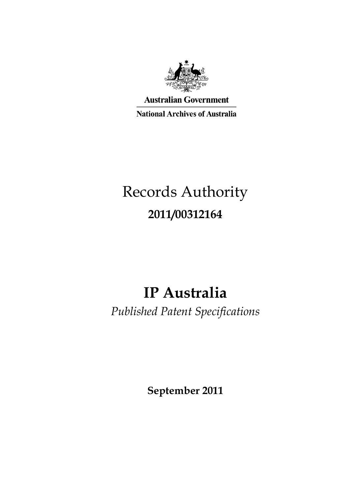

**Australian Government** 

**National Archives of Australia** 

# Records Authority **2011/00312164**

# **IP Australia**

*Published Patent Specifications* 

**September 2011**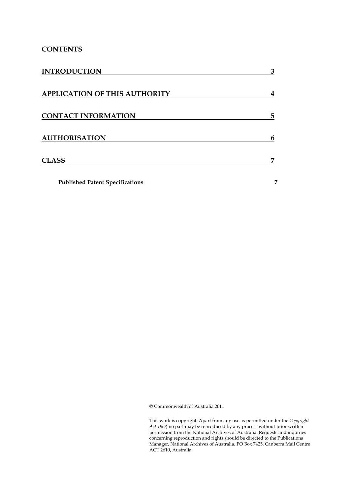# **CONTENTS**

| <b>INTRODUCTION</b>                    | 3 |
|----------------------------------------|---|
| <b>APPLICATION OF THIS AUTHORITY</b>   |   |
| <b>CONTACT INFORMATION</b>             | 5 |
| <b>AUTHORISATION</b>                   | 6 |
| <b>CLASS</b>                           |   |
| <b>Published Patent Specifications</b> | 7 |

© Commonwealth of Australia 2011

l,  $\overline{a}$ i. Manager, National Archives of Australia, PO Box 7425, Canberra Mail Centre This work is copyright. Apart from any use as permitted under the *Copyright Act 1968,* no part may be reproduced by any process without prior written permission from the National Archives of Australia. Requests and inquiries concerning reproduction and rights should be directed to the Publications ACT 2610, Australia.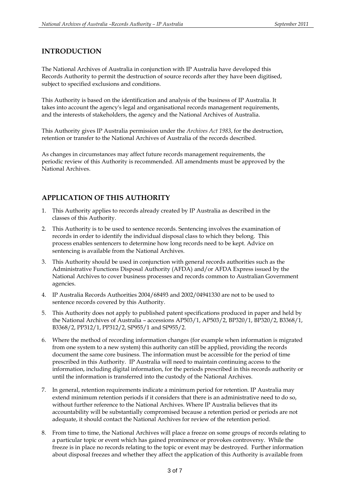## **INTRODUCTION**

 The National Archives of Australia in conjunction with IP Australia have developed this Records Authority to permit the destruction of source records after they have been digitised, subject to specified exclusions and conditions.

 This Authority is based on the identification and analysis of the business of IP Australia. It and the interests of stakeholders, the agency and the National Archives of Australia. takes into account the agency's legal and organisational records management requirements,

 This Authority gives IP Australia permission under the *Archives Act 1983*, for the destruction, retention or transfer to the National Archives of Australia of the records described.

 periodic review of this Authority is recommended. All amendments must be approved by the As changes in circumstances may affect future records management requirements, the National Archives.

# **APPLICATION OF THIS AUTHORITY**

- 1. This Authority applies to records already created by IP Australia as described in the classes of this Authority.
- 2. This Authority is to be used to sentence records. Sentencing involves the examination of records in order to identify the individual disposal class to which they belong. This process enables sentencers to determine how long records need to be kept. Advice on sentencing is available from the National Archives.
- 3. This Authority should be used in conjunction with general records authorities such as the Administrative Functions Disposal Authority (AFDA) and/or AFDA Express issued by the National Archives to cover business processes and records common to Australian Government agencies.
- 4. IP Australia Records Authorities 2004/68493 and 2002/04941330 are not to be used to sentence records covered by this Authority.
- 5. This Authority does not apply to published patent specifications produced in paper and held by the National Archives of Australia – accessions AP503/1, AP503/2, BP320/1, BP320/2, B3368/1, B3368/2, PP312/1, PP312/2, SP955/1 and SP955/2.
- 6. Where the method of recording information changes (for example when information is migrated from one system to a new system) this authority can still be applied, providing the records document the same core business. The information must be accessible for the period of time prescribed in this Authority. IP Australia will need to maintain continuing access to the information, including digital information, for the periods prescribed in this records authority or until the information is transferred into the custody of the National Archives.
- 7. In general, retention requirements indicate a minimum period for retention. IP Australia may extend minimum retention periods if it considers that there is an administrative need to do so, without further reference to the National Archives. Where IP Australia believes that its accountability will be substantially compromised because a retention period or periods are not adequate, it should contact the National Archives for review of the retention period.
- 8. From time to time, the National Archives will place a freeze on some groups of records relating to a particular topic or event which has gained prominence or provokes controversy. While the freeze is in place no records relating to the topic or event may be destroyed. Further information about disposal freezes and whether they affect the application of this Authority is available from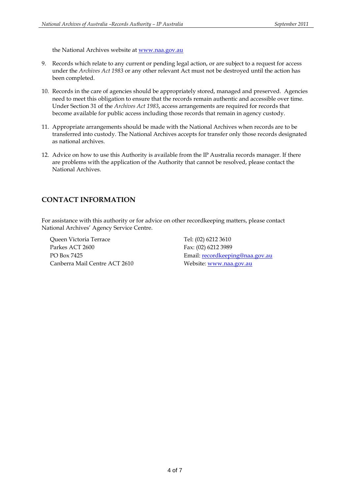the National Archives website a[t www.naa.gov.au](http://www.naa.gov.au/) 

- 9. Records which relate to any current or pending legal action, or are subject to a request for access  under the *Archives Act 1983* or any other relevant Act must not be destroyed until the action has been completed.
- been completed.<br>10. Records in the care of agencies should be appropriately stored, managed and preserved. Agencies need to meet this obligation to ensure that the records remain authentic and accessible over time. Under Section 31 of the *Archives Act 1983*, access arrangements are required for records that become available for public access including those records that remain in agency custody.
- 11. Appropriate arrangements should be made with the National Archives when records are to be transferred into custody. The National Archives accepts for transfer only those records designated as national archives.
- as national archives.<br>12. Advice on how to use this Authority is available from the IP Australia records manager. If there are problems with the application of the Authority that cannot be resolved, please contact the National Archives.

### **CONTACT INFORMATION**

 For assistance with this authority or for advice on other recordkeeping matters, please contact National Archives' Agency Service Centre.

Queen Victoria Terrace Tel: (02) 6212 3610 Parkes ACT 2600 PO Box 7425 Canberra Mail Centre ACT 2610 Website: [www.naa.gov.au](http://www.naa.gov.au/)

Fax: (02) 6212 3989 Email: [recordkeeping@naa.gov.au](mailto:recordkeeping@naa.gov.au)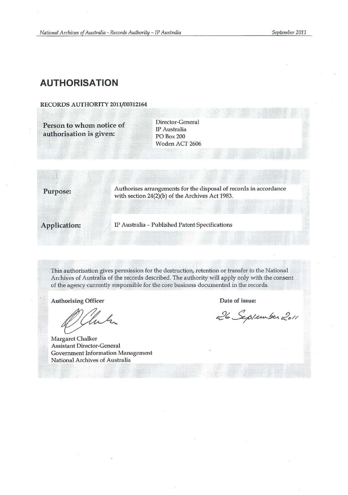# **AUTHORISATION**

#### RECORDS AUTHORITY 2011/00312164

**Person to whom notice of Charles Control** P Australia authorisation is given: PO Box 200

Woden ACT 2606

**Purpose:** Authorises arrangements for the disposal of records in accordance with section 24(2)(b) of the Archives Act 1983.

Application: IP Australia - Published Patent Specifications

This authorisation gives permission for the destruction, retention or transfer to the National Archives of Australia of the records described. The authority will apply only with the consent of the agency currently responsible for the core business documented in the records.

Authorising Officer **Date of issue:** 

luh

Margaret Chalker Assistant Director-General Government Information Management National Archives of Australia

26 September 2011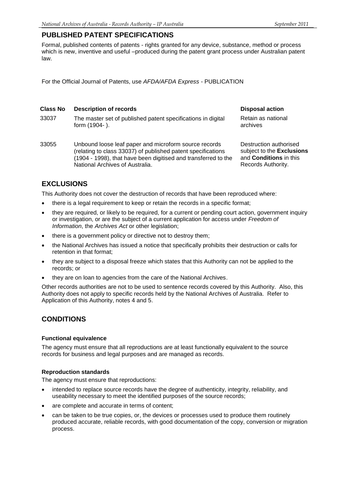### **PUBLISHED PATENT SPECIFICATIONS**

Formal, published contents of patents - rights granted for any device, substance, method or process which is new, inventive and useful *–*produced during the patent grant process under Australian patent law.

For the Official Journal of Patents, use *AFDA/AFDA Express -* PUBLICATION

#### **Class No** Description of records Disposal action **Disposal action**

- 33037 The master set of published patent specifications in digital Retain as national form (1904-).  $\blacksquare$
- 33055 Unbound loose leaf paper and microform source records Destruction authorised<br>(relating to class 33037) of published patent specifications subject to the **Exclusions** (relating to class 33037) of published patent specifications (1904 - 1998), that have been digitised and transferred to the and **Conditions** in this National Archives of Australia.

# **EXCLUSIONS**

This Authority does not cover the destruction of records that have been reproduced where:

- there is a legal requirement to keep or retain the records in a specific format;
- *Information*, the *Archives Act* or other legislation; they are required, or likely to be required, for a current or pending court action, government inquiry or investigation, or are the subject of a current application for access under *Freedom of*
- there is a government policy or directive not to destroy them;
- the National Archives has issued a notice that specifically prohibits their destruction or calls for retention in that format;
- records; or they are subject to a disposal freeze which states that this Authority can not be applied to the
- they are on loan to agencies from the care of the National Archives.

 Other records authorities are not to be used to sentence records covered by this Authority. Also, this Application of this Authority, notes 4 and 5. Authority does not apply to specific records held by the National Archives of Australia. Refer to

# **CONDITIONS**

#### **Functional equivalence**

The agency must ensure that all reproductions are at least functionally equivalent to the source records for business and legal purposes and are managed as records.

#### **Reproduction standards**

The agency must ensure that reproductions:

- useability necessary to meet the identified purposes of the source records; intended to replace source records have the degree of authenticity, integrity, reliability, and
- are complete and accurate in terms of content;
- can be taken to be true copies, or, the devices or processes used to produce them routinely produced accurate, reliable records, with good documentation of the copy, conversion or migration process.